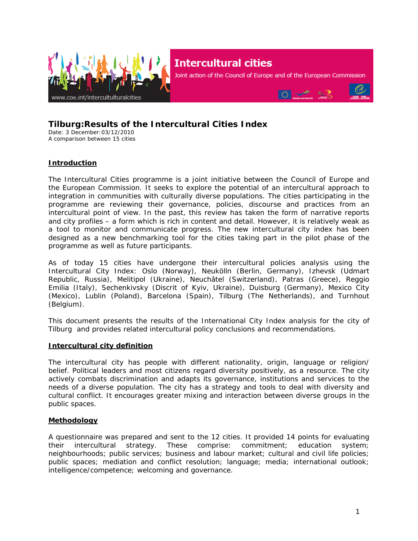

# **Intercultural cities**

Joint action of the Council of Europe and of the European Commission



# **Tilburg:Results of the Intercultural Cities Index**

Date: 3 December:03/12/2010 A comparison between 15 cities

# **Introduction**

The Intercultural Cities programme is a joint initiative between the Council of Europe and the European Commission. It seeks to explore the potential of an intercultural approach to integration in communities with culturally diverse populations. The cities participating in the programme are reviewing their governance, policies, discourse and practices from an intercultural point of view. In the past, this review has taken the form of narrative reports and city profiles – a form which is rich in content and detail. However, it is relatively weak as a tool to monitor and communicate progress. The new intercultural city index has been designed as a new benchmarking tool for the cities taking part in the pilot phase of the programme as well as future participants.

As of today 15 cities have undergone their intercultural policies analysis using the Intercultural City Index: Oslo *(Norway)*, Neukölln *(Berlin, Germany)*, Izhevsk *(Udmart Republic, Russia)*, Melitipol *(Ukraine)*, Neuchâtel *(Switzerland),* Patras *(Greece)*, Reggio Emilia *(Italy)*, Sechenkivsky *(Discrit of Kyiv, Ukraine)*, Duisburg *(Germany)*, Mexico City *(Mexico)*, Lublin *(Poland),* Barcelona (*Spain),* Tilburg (The Netherlands), and Turnhout (*Belgium*).

This document presents the results of the International City Index analysis for the city of Tilburg and provides related intercultural policy conclusions and recommendations.

#### **Intercultural city definition**

The intercultural city has people with different nationality, origin, language or religion/ belief. Political leaders and most citizens regard diversity positively, as a resource. The city actively combats discrimination and adapts its governance, institutions and services to the needs of a diverse population. The city has a strategy and tools to deal with diversity and cultural conflict. It encourages greater mixing and interaction between diverse groups in the public spaces.

#### **Methodology**

A questionnaire was prepared and sent to the 12 cities. It provided 14 points for evaluating their intercultural strategy. These comprise: commitment; education system; neighbourhoods; public services; business and labour market; cultural and civil life policies; public spaces; mediation and conflict resolution; language; media; international outlook; intelligence/competence; welcoming and governance.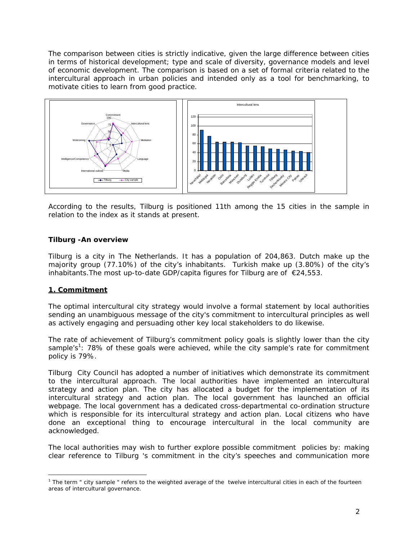The comparison between cities is strictly indicative, given the large difference between cities in terms of historical development; type and scale of diversity, governance models and level of economic development. The comparison is based on a set of formal criteria related to the intercultural approach in urban policies and intended only as a tool for benchmarking, to motivate cities to learn from good practice.



According to the results, Tilburg is positioned 11th among the 15 cities in the sample in relation to the index as it stands at present.

#### **Tilburg -An overview**

Tilburg is a city in The Netherlands. It has a population of 204,863. Dutch make up the majority group (77.10%) of the city's inhabitants. Turkish make up (3.80%) of the city's inhabitants. The most up-to-date GDP/capita figures for Tilburg are of  $\epsilon$ 24,553.

# **1. Commitment**

The optimal intercultural city strategy would involve a formal statement by local authorities sending an unambiguous message of the city's commitment to intercultural principles as well as actively engaging and persuading other key local stakeholders to do likewise.

The rate of achievement of Tilburg's commitment policy goals is slightly lower than the city sample's<sup>1</sup>: 78% of these goals were achieved, while the city sample's rate for commitment policy is 79%.

Tilburg City Council has adopted a number of initiatives which demonstrate its commitment to the intercultural approach. The local authorities have implemented an intercultural strategy and action plan. The city has allocated a budget for the implementation of its intercultural strategy and action plan. The local government has launched an official webpage. The local government has a dedicated cross-departmental co-ordination structure which is responsible for its intercultural strategy and action plan. Local citizens who have done an exceptional thing to encourage intercultural in the local community are acknowledged.

The local authorities may wish to further explore possible commitment policies by: making clear reference to Tilburg 's commitment in the city's speeches and communication more

 $\overline{a}$  $1$  The term " city sample " refers to the weighted average of the twelve intercultural cities in each of the fourteen areas of intercultural governance.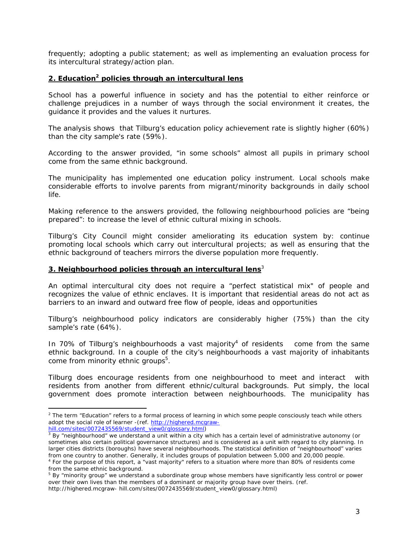frequently; adopting a public statement; as well as implementing an evaluation process for its intercultural strategy/action plan.

#### **2. Education2 policies through an intercultural lens**

School has a powerful influence in society and has the potential to either reinforce or challenge prejudices in a number of ways through the social environment it creates, the guidance it provides and the values it nurtures.

The analysis shows that Tilburg's education policy achievement rate is slightly higher (60%) than the city sample's rate (59%).

According to the answer provided, "in some schools" almost all pupils in primary school come from the same ethnic background.

The municipality has implemented one education policy instrument. Local schools make considerable efforts to involve parents from migrant/minority backgrounds in daily school life.

Making reference to the answers provided, the following neighbourhood policies are "being prepared": to increase the level of ethnic cultural mixing in schools.

Tilburg's City Council might consider ameliorating its education system by: continue promoting local schools which carry out intercultural projects; as well as ensuring that the ethnic background of teachers mirrors the diverse population more frequently.

#### **3. Neighbourhood policies through an intercultural lens**<sup>3</sup>

An optimal intercultural city does not require a "perfect statistical mix" of people and recognizes the value of ethnic enclaves. It is important that residential areas do not act as barriers to an inward and outward free flow of people, ideas and opportunities

Tilburg's neighbourhood policy indicators are considerably higher (75%) than the city sample's rate (64%).

In 70% of Tilburg's neighbourhoods a vast majority<sup>4</sup> of residents come from the same ethnic background. In a couple of the city's neighbourhoods a vast majority of inhabitants come from minority ethnic groups<sup>5</sup>.

Tilburg does encourage residents from one neighbourhood to meet and interact with residents from another from different ethnic/cultural backgrounds. Put simply, the local government does promote interaction between neighbourhoods. The municipality has

 $\overline{a}$ 

<sup>&</sup>lt;sup>2</sup> The term "Education" refers to a formal process of learning in which some people consciously teach while others adopt the social role of learner -(ref. http://highered.mcgraw-

hill.com/sites/0072435569/student\_view0/glossary.html)

 $3$  By "neighbourhood" we understand a unit within a city which has a certain level of administrative autonomy (or sometimes also certain political governance structures) and is considered as a unit with regard to city planning. In larger cities districts (boroughs) have several neighbourhoods. The statistical definition of "neighbourhood" varies from one country to another. Generally, it includes groups of population between 5,000 and 20,000 people. 4 <sup>4</sup> For the purpose of this report, a "vast majority" refers to a situation where more than 80% of residents come

from the same ethnic background.

<sup>&</sup>lt;sup>5</sup> By "minority group" we understand a subordinate group whose members have significantly less control or power over their own lives than the members of a dominant or majority group have over theirs. (ref. http://highered.mcgraw- hill.com/sites/0072435569/student\_view0/glossary.html)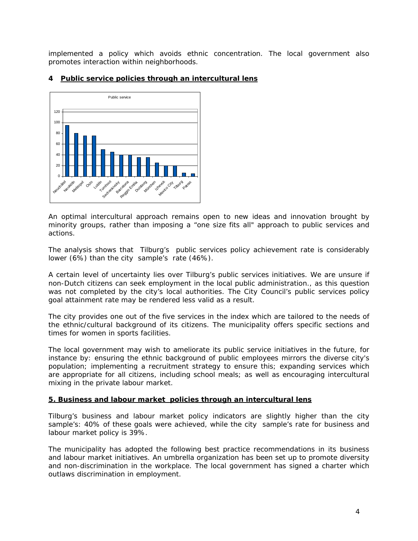implemented a policy which avoids ethnic concentration. The local government also promotes interaction within neighborhoods.



#### **4 Public service policies through an intercultural lens**

An optimal intercultural approach remains open to new ideas and innovation brought by minority groups, rather than imposing a "one size fits all" approach to public services and actions.

The analysis shows that Tilburg's public services policy achievement rate is considerably lower (6%) than the city sample's rate (46%).

A certain level of uncertainty lies over Tilburg's public services initiatives. We are unsure if non-Dutch citizens can seek employment in the local public administration., as this question was not completed by the city's local authorities. The City Council's public services policy goal attainment rate may be rendered less valid as a result.

The city provides one out of the five services in the index which are tailored to the needs of the ethnic/cultural background of its citizens. The municipality offers specific sections and times for women in sports facilities.

The local government may wish to ameliorate its public service initiatives in the future, for instance by: ensuring the ethnic background of public employees mirrors the diverse city's population; implementing a recruitment strategy to ensure this; expanding services which are appropriate for all citizens, including school meals; as well as encouraging intercultural mixing in the private labour market.

#### **5. Business and labour market policies through an intercultural lens**

Tilburg's business and labour market policy indicators are slightly higher than the city sample's: 40% of these goals were achieved, while the city sample's rate for business and labour market policy is 39%.

The municipality has adopted the following best practice recommendations in its business and labour market initiatives. An umbrella organization has been set up to promote diversity and non-discrimination in the workplace. The local government has signed a charter which outlaws discrimination in employment.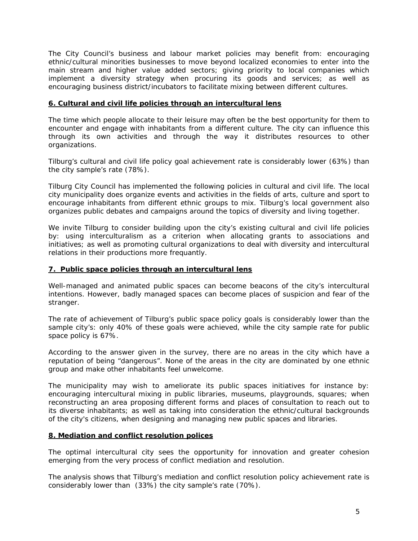The City Council's business and labour market policies may benefit from: encouraging ethnic/cultural minorities businesses to move beyond localized economies to enter into the main stream and higher value added sectors; giving priority to local companies which implement a diversity strategy when procuring its goods and services; as well as encouraging business district/incubators to facilitate mixing between different cultures.

#### **6. Cultural and civil life policies through an intercultural lens**

The time which people allocate to their leisure may often be the best opportunity for them to encounter and engage with inhabitants from a different culture. The city can influence this through its own activities and through the way it distributes resources to other organizations.

Tilburg's cultural and civil life policy goal achievement rate is considerably lower (63%) than the city sample's rate (78%).

Tilburg City Council has implemented the following policies in cultural and civil life. The local city municipality does organize events and activities in the fields of arts, culture and sport to encourage inhabitants from different ethnic groups to mix. Tilburg's local government also organizes public debates and campaigns around the topics of diversity and living together.

We invite Tilburg to consider building upon the city's existing cultural and civil life policies by: using interculturalism as a criterion when allocating grants to associations and initiatives; as well as promoting cultural organizations to deal with diversity and intercultural relations in their productions more frequantly.

#### **7. Public space policies through an intercultural lens**

Well-managed and animated public spaces can become beacons of the city's intercultural intentions. However, badly managed spaces can become places of suspicion and fear of the stranger.

The rate of achievement of Tilburg's public space policy goals is considerably lower than the sample city's: only 40% of these goals were achieved, while the city sample rate for public space policy is 67%.

According to the answer given in the survey, there are no areas in the city which have a reputation of being "dangerous". None of the areas in the city are dominated by one ethnic group and make other inhabitants feel unwelcome.

The municipality may wish to ameliorate its public spaces initiatives for instance by: encouraging intercultural mixing in public libraries, museums, playgrounds, squares; when reconstructing an area proposing different forms and places of consultation to reach out to its diverse inhabitants; as well as taking into consideration the ethnic/cultural backgrounds of the city's citizens, when designing and managing new public spaces and libraries.

#### **8. Mediation and conflict resolution polices**

The optimal intercultural city sees the opportunity for innovation and greater cohesion emerging from the very process of conflict mediation and resolution.

The analysis shows that Tilburg's mediation and conflict resolution policy achievement rate is considerably lower than (33%) the city sample's rate (70%).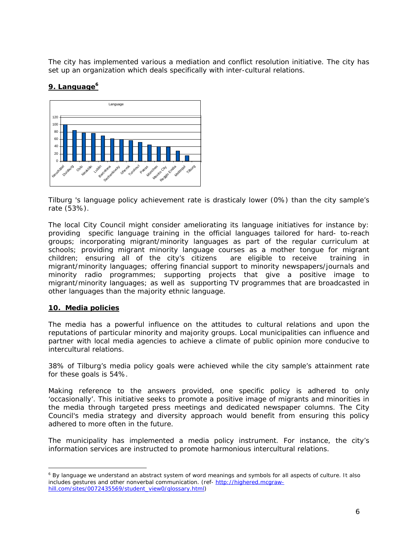The city has implemented various a mediation and conflict resolution initiative. The city has set up an organization which deals specifically with inter-cultural relations.

# 9. Language<sup>6</sup>



Tilburg 's language policy achievement rate is drasticaly lower (0%) than the city sample's rate (53%).

The local City Council might consider ameliorating its language initiatives for instance by: providing specific language training in the official languages tailored for hard- to-reach groups; incorporating migrant/minority languages as part of the regular curriculum at schools; providing migrant minority language courses as a mother tongue for migrant children; ensuring all of the city's citizens are eligible to receive training in migrant/minority languages; offering financial support to minority newspapers/journals and minority radio programmes; supporting projects that give a positive image to migrant/minority languages; as well as supporting TV programmes that are broadcasted in other languages than the majority ethnic language.

#### **10. Media policies**

 $\overline{a}$ 

The media has a powerful influence on the attitudes to cultural relations and upon the reputations of particular minority and majority groups. Local municipalities can influence and partner with local media agencies to achieve a climate of public opinion more conducive to intercultural relations.

38% of Tilburg's media policy goals were achieved while the city sample's attainment rate for these goals is 54%.

Making reference to the answers provided, one specific policy is adhered to only 'occasionally'. This initiative seeks to promote a positive image of migrants and minorities in the media through targeted press meetings and dedicated newspaper columns. The City Council's media strategy and diversity approach would benefit from ensuring this policy adhered to more often in the future.

The municipality has implemented a media policy instrument. For instance, the city's information services are instructed to promote harmonious intercultural relations.

<sup>&</sup>lt;sup>6</sup> By language we understand an abstract system of word meanings and symbols for all aspects of culture. It also includes gestures and other nonverbal communication. (ref- http://highered.mcgrawhill.com/sites/0072435569/student\_view0/glossary.html)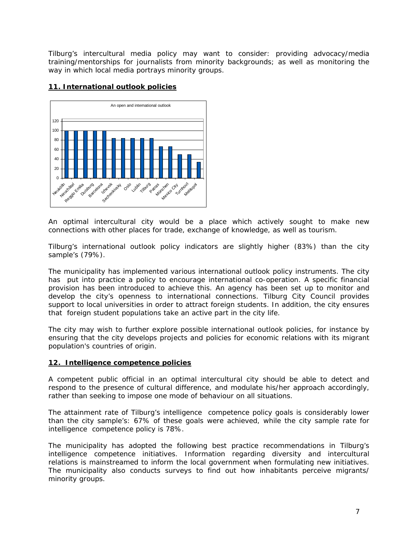Tilburg's intercultural media policy may want to consider: providing advocacy/media training/mentorships for journalists from minority backgrounds; as well as monitoring the way in which local media portrays minority groups.

# **11. International outlook policies**



An optimal intercultural city would be a place which actively sought to make new connections with other places for trade, exchange of knowledge, as well as tourism.

Tilburg's international outlook policy indicators are slightly higher (83%) than the city sample's (79%).

The municipality has implemented various international outlook policy instruments. The city has put into practice a policy to encourage international co-operation. A specific financial provision has been introduced to achieve this. An agency has been set up to monitor and develop the city's openness to international connections. Tilburg City Council provides support to local universities in order to attract foreign students. In addition, the city ensures that foreign student populations take an active part in the city life.

The city may wish to further explore possible international outlook policies, for instance by ensuring that the city develops projects and policies for economic relations with its migrant population's countries of origin.

#### **12. Intelligence competence policies**

A competent public official in an optimal intercultural city should be able to detect and respond to the presence of cultural difference, and modulate his/her approach accordingly, rather than seeking to impose one mode of behaviour on all situations.

The attainment rate of Tilburg's intelligence competence policy goals is considerably lower than the city sample's: 67% of these goals were achieved, while the city sample rate for intelligence competence policy is 78%.

The municipality has adopted the following best practice recommendations in Tilburg's intelligence competence initiatives. Information regarding diversity and intercultural relations is mainstreamed to inform the local government when formulating new initiatives. The municipality also conducts surveys to find out how inhabitants perceive migrants/ minority groups.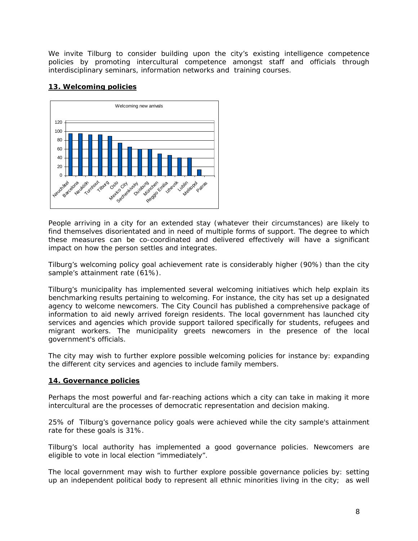We invite Tilburg to consider building upon the city's existing intelligence competence policies by promoting intercultural competence amongst staff and officials through interdisciplinary seminars, information networks and training courses.

# **13. Welcoming policies**



People arriving in a city for an extended stay (whatever their circumstances) are likely to find themselves disorientated and in need of multiple forms of support. The degree to which these measures can be co-coordinated and delivered effectively will have a significant impact on how the person settles and integrates.

Tilburg's welcoming policy goal achievement rate is considerably higher (90%) than the city sample's attainment rate (61%).

Tilburg's municipality has implemented several welcoming initiatives which help explain its benchmarking results pertaining to welcoming. For instance, the city has set up a designated agency to welcome newcomers. The City Council has published a comprehensive package of information to aid newly arrived foreign residents. The local government has launched city services and agencies which provide support tailored specifically for students, refugees and migrant workers. The municipality greets newcomers in the presence of the local government's officials.

The city may wish to further explore possible welcoming policies for instance by: expanding the different city services and agencies to include family members.

# **14. Governance policies**

Perhaps the most powerful and far-reaching actions which a city can take in making it more intercultural are the processes of democratic representation and decision making.

25% of Tilburg's governance policy goals were achieved while the city sample's attainment rate for these goals is 31%.

Tilburg's local authority has implemented a good governance policies. Newcomers are eligible to vote in local election "immediately".

The local government may wish to further explore possible governance policies by: setting up an independent political body to represent all ethnic minorities living in the city; as well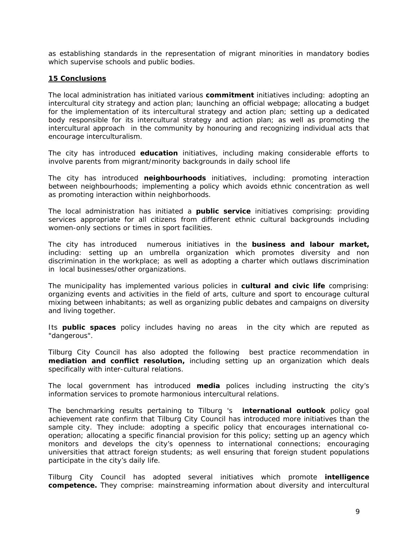as establishing standards in the representation of migrant minorities in mandatory bodies which supervise schools and public bodies.

#### **15 Conclusions**

The local administration has initiated various **commitment** initiatives including: adopting an intercultural city strategy and action plan; launching an official webpage; allocating a budget for the implementation of its intercultural strategy and action plan; setting up a dedicated body responsible for its intercultural strategy and action plan; as well as promoting the intercultural approach in the community by honouring and recognizing individual acts that encourage interculturalism.

The city has introduced **education** initiatives, including making considerable efforts to involve parents from migrant/minority backgrounds in daily school life

The city has introduced **neighbourhoods** initiatives, including: promoting interaction between neighbourhoods; implementing a policy which avoids ethnic concentration as well as promoting interaction within neighborhoods.

The local administration has initiated a **public service** initiatives comprising: providing services appropriate for all citizens from different ethnic cultural backgrounds including women-only sections or times in sport facilities.

The city has introduced numerous initiatives in the **business and labour market,** including: setting up an umbrella organization which promotes diversity and non discrimination in the workplace; as well as adopting a charter which outlaws discrimination in local businesses/other organizations.

The municipality has implemented various policies in **cultural and civic life** comprising: organizing events and activities in the field of arts, culture and sport to encourage cultural mixing between inhabitants; as well as organizing public debates and campaigns on diversity and living together.

Its **public spaces** policy includes having no areas in the city which are reputed as "dangerous".

Tilburg City Council has also adopted the following best practice recommendation in **mediation and conflict resolution,** including setting up an organization which deals specifically with inter-cultural relations.

The local government has introduced **media** polices including instructing the city's information services to promote harmonious intercultural relations.

The benchmarking results pertaining to Tilburg 's **international outlook** policy goal achievement rate confirm that Tilburg City Council has introduced more initiatives than the sample city. They include: adopting a specific policy that encourages international cooperation; allocating a specific financial provision for this policy; setting up an agency which monitors and develops the city's openness to international connections; encouraging universities that attract foreign students; as well ensuring that foreign student populations participate in the city's daily life.

Tilburg City Council has adopted several initiatives which promote **intelligence competence.** They comprise: mainstreaming information about diversity and intercultural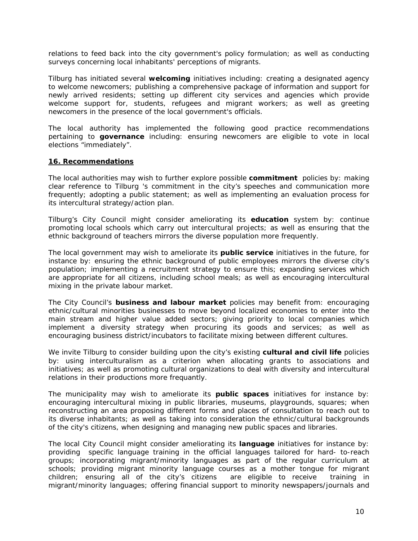relations to feed back into the city government's policy formulation; as well as conducting surveys concerning local inhabitants' perceptions of migrants.

Tilburg has initiated several **welcoming** initiatives including: creating a designated agency to welcome newcomers; publishing a comprehensive package of information and support for newly arrived residents; setting up different city services and agencies which provide welcome support for, students, refugees and migrant workers; as well as greeting newcomers in the presence of the local government's officials.

The local authority has implemented the following good practice recommendations pertaining to **governance** including: ensuring newcomers are eligible to vote in local elections "immediately".

#### **16. Recommendations**

The local authorities may wish to further explore possible **commitment** policies by: making clear reference to Tilburg 's commitment in the city's speeches and communication more frequently; adopting a public statement; as well as implementing an evaluation process for its intercultural strategy/action plan.

Tilburg's City Council might consider ameliorating its **education** system by: continue promoting local schools which carry out intercultural projects; as well as ensuring that the ethnic background of teachers mirrors the diverse population more frequently.

The local government may wish to ameliorate its **public service** initiatives in the future, for instance by: ensuring the ethnic background of public employees mirrors the diverse city's population; implementing a recruitment strategy to ensure this; expanding services which are appropriate for all citizens, including school meals; as well as encouraging intercultural mixing in the private labour market.

The City Council's **business and labour market** policies may benefit from: encouraging ethnic/cultural minorities businesses to move beyond localized economies to enter into the main stream and higher value added sectors; giving priority to local companies which implement a diversity strategy when procuring its goods and services; as well as encouraging business district/incubators to facilitate mixing between different cultures.

We invite Tilburg to consider building upon the city's existing **cultural and civil life** policies by: using interculturalism as a criterion when allocating grants to associations and initiatives; as well as promoting cultural organizations to deal with diversity and intercultural relations in their productions more frequantly.

The municipality may wish to ameliorate its **public spaces** initiatives for instance by: encouraging intercultural mixing in public libraries, museums, playgrounds, squares; when reconstructing an area proposing different forms and places of consultation to reach out to its diverse inhabitants; as well as taking into consideration the ethnic/cultural backgrounds of the city's citizens, when designing and managing new public spaces and libraries.

The local City Council might consider ameliorating its **language** initiatives for instance by: providing specific language training in the official languages tailored for hard- to-reach groups; incorporating migrant/minority languages as part of the regular curriculum at schools; providing migrant minority language courses as a mother tongue for migrant children; ensuring all of the city's citizens are eligible to receive training in migrant/minority languages; offering financial support to minority newspapers/journals and